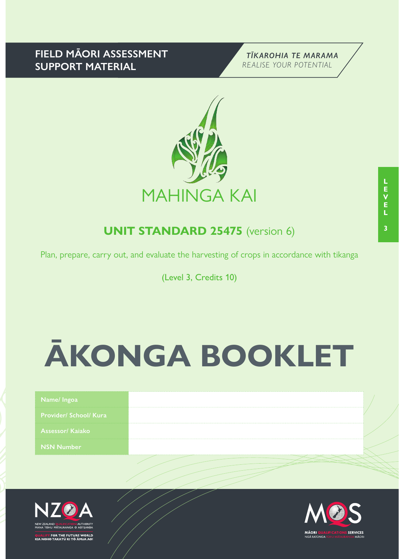## **FIELD MĀORI ASSESSMENT SUPPORT MATERIAL**





## **UNIT STANDARD 25475** (version 6)

Plan, prepare, carry out, and evaluate the harvesting of crops in accordance with tikanga

(Level 3, Credits 10)

# **ĀKONGA BOOKLET**

| Provider/ School/ Kura<br><b>NSN Number</b> | Name/Ingoa             |  |
|---------------------------------------------|------------------------|--|
|                                             |                        |  |
|                                             | <b>Assessor/Kajako</b> |  |
|                                             |                        |  |



FOR THE FUTURE WORLD<br>O TAKATŪ KI TÕ ĀMUA AO!

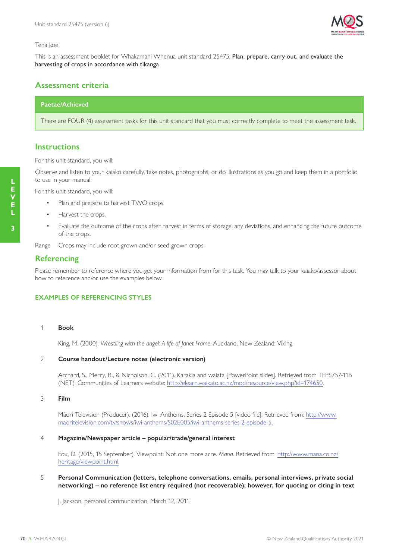

#### Tēnā koe

This is an assessment booklet for Whakamahi Whenua unit standard 25475: Plan, prepare, carry out, and evaluate the harvesting of crops in accordance with tikanga

## **Assessment criteria**

## **Paetae/Achieved**

There are FOUR (4) assessment tasks for this unit standard that you must correctly complete to meet the assessment task.

## **Instructions**

For this unit standard, you will:

Observe and listen to your kaiako carefully, take notes, photographs, or do illustrations as you go and keep them in a portfolio to use in your manual.

For this unit standard, you will:

- Plan and prepare to harvest TWO crops.
- Harvest the crops.
- Evaluate the outcome of the crops after harvest in terms of storage, any deviations, and enhancing the future outcome of the crops.

Range Crops may include root grown and/or seed grown crops.

## **Referencing**

Please remember to reference where you get your information from for this task. You may talk to your kaiako/assessor about how to reference and/or use the examples below.

#### **EXAMPLES OF REFERENCING STYLES**

#### 1 **Book**

King, M. (2000). *Wrestling with the angel: A life of Janet Frame*. Auckland, New Zealand: Viking.

#### 2 **Course handout/Lecture notes (electronic version)**

Archard, S., Merry, R., & Nicholson, C. (2011). Karakia and waiata [PowerPoint slides]. Retrieved from TEPS757-11B (NET): Communities of Learners website: http://elearn.waikato.ac.nz/mod/resource/view.php?id=174650.

#### 3 **Film**

Māori Television (Producer). (2016). Iwi Anthems, Series 2 Episode 5 [video file]. Retrieved from: http://www. maoritelevision.com/tv/shows/iwi-anthems/S02E005/iwi-anthems-series-2-episode-5.

#### 4 **Magazine/Newspaper article – popular/trade/general interest**

Fox, D. (2015, 15 September). Viewpoint: Not one more acre. *Mana*. Retrieved from: http://www.mana.co.nz/ heritage/viewpoint.html.

#### 5 **Personal Communication (letters, telephone conversations, emails, personal interviews, private social networking) – no reference list entry required (not recoverable); however, for quoting or citing in text**

J. Jackson, personal communication, March 12, 2011.

**3**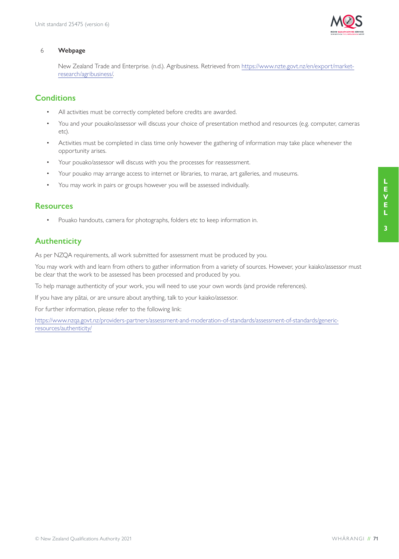

#### 6 **Webpage**

New Zealand Trade and Enterprise. (n.d.). Agribusiness. Retrieved from https://www.nzte.govt.nz/en/export/marketresearch/agribusiness/.

## **Conditions**

- All activities must be correctly completed before credits are awarded.
- You and your pouako/assessor will discuss your choice of presentation method and resources (e.g. computer, cameras etc).
- Activities must be completed in class time only however the gathering of information may take place whenever the opportunity arises.
- Your pouako/assessor will discuss with you the processes for reassessment.
- Your pouako may arrange access to internet or libraries, to marae, art galleries, and museums.
- You may work in pairs or groups however you will be assessed individually.

## **Resources**

• Pouako handouts, camera for photographs, folders etc to keep information in.

## **Authenticity**

As per NZQA requirements, all work submitted for assessment must be produced by you.

You may work with and learn from others to gather information from a variety of sources. However, your kaiako/assessor must be clear that the work to be assessed has been processed and produced by you.

To help manage authenticity of your work, you will need to use your own words (and provide references).

If you have any pātai, or are unsure about anything, talk to your kaiako/assessor.

For further information, please refer to the following link:

https://www.nzqa.govt.nz/providers-partners/assessment-and-moderation-of-standards/assessment-of-standards/genericresources/authenticity/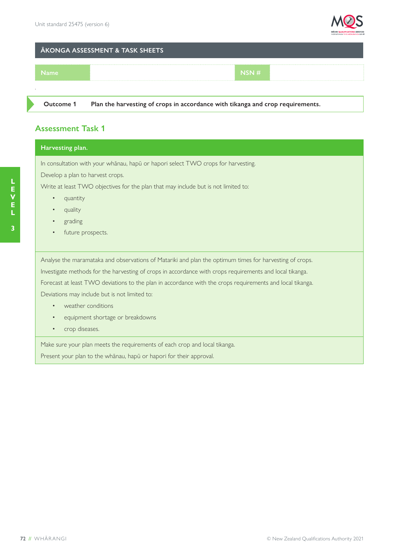

### **ĀKONGA ASSESSMENT & TASK SHEETS**



**Outcome 1 Plan the harvesting of crops in accordance with tikanga and crop requirements.**

## **Assessment Task 1**

## **Harvesting plan.**

In consultation with your whānau, hapū or hapori select TWO crops for harvesting.

Develop a plan to harvest crops.

Write at least TWO objectives for the plan that may include but is not limited to:

- quantity
- quality
- grading
- future prospects.

Analyse the maramataka and observations of Matariki and plan the optimum times for harvesting of crops.

Investigate methods for the harvesting of crops in accordance with crops requirements and local tikanga.

Forecast at least TWO deviations to the plan in accordance with the crops requirements and local tikanga.

Deviations may include but is not limited to:

- weather conditions
- equipment shortage or breakdowns
- crop diseases.

Make sure your plan meets the requirements of each crop and local tikanga.

Present your plan to the whānau, hapū or hapori for their approval.